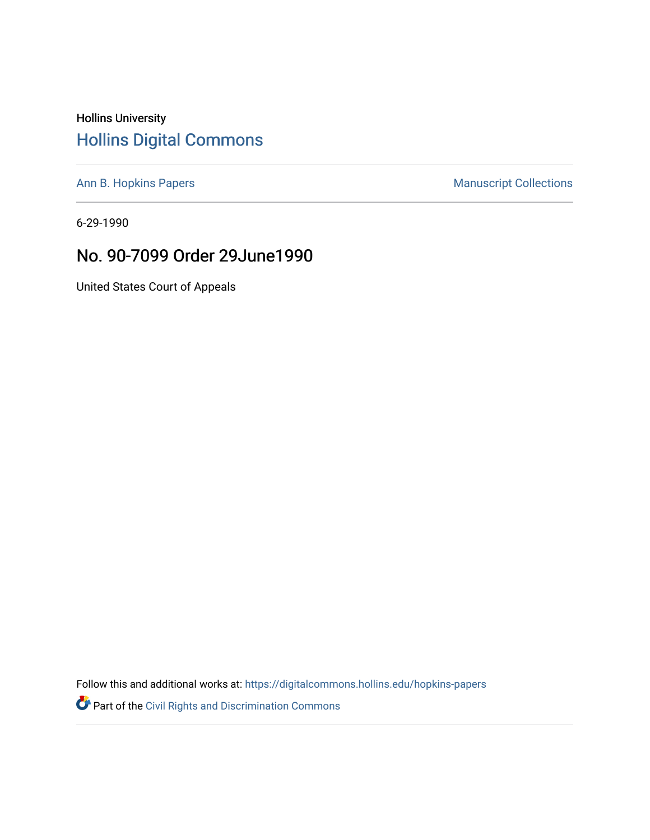## Hollins University [Hollins Digital Commons](https://digitalcommons.hollins.edu/)

[Ann B. Hopkins Papers](https://digitalcommons.hollins.edu/hopkins-papers) **Manuscript Collections** Manuscript Collections

6-29-1990

## No. 90-7099 Order 29June1990

United States Court of Appeals

Follow this and additional works at: [https://digitalcommons.hollins.edu/hopkins-papers](https://digitalcommons.hollins.edu/hopkins-papers?utm_source=digitalcommons.hollins.edu%2Fhopkins-papers%2F257&utm_medium=PDF&utm_campaign=PDFCoverPages) 

Part of the [Civil Rights and Discrimination Commons](http://network.bepress.com/hgg/discipline/585?utm_source=digitalcommons.hollins.edu%2Fhopkins-papers%2F257&utm_medium=PDF&utm_campaign=PDFCoverPages)